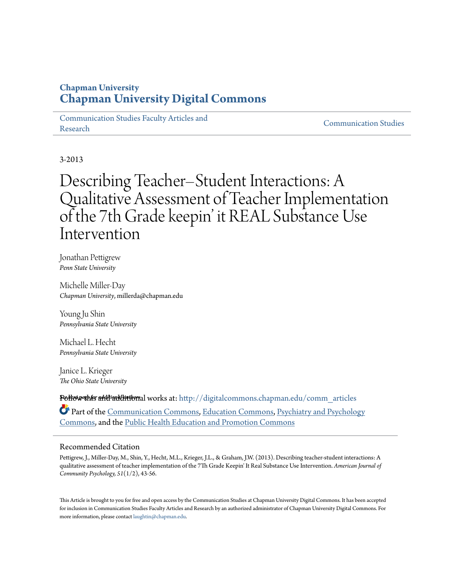# **Chapman University [Chapman University Digital Commons](http://digitalcommons.chapman.edu?utm_source=digitalcommons.chapman.edu%2Fcomm_articles%2F5&utm_medium=PDF&utm_campaign=PDFCoverPages)**

[Communication Studies Faculty Articles and](http://digitalcommons.chapman.edu/comm_articles?utm_source=digitalcommons.chapman.edu%2Fcomm_articles%2F5&utm_medium=PDF&utm_campaign=PDFCoverPages) [Research](http://digitalcommons.chapman.edu/comm_articles?utm_source=digitalcommons.chapman.edu%2Fcomm_articles%2F5&utm_medium=PDF&utm_campaign=PDFCoverPages) [Communication Studies](http://digitalcommons.chapman.edu/communication?utm_source=digitalcommons.chapman.edu%2Fcomm_articles%2F5&utm_medium=PDF&utm_campaign=PDFCoverPages)

3-2013

# Describing Teacher–Student Interactions: A Qualitative Assessment of Teacher Implementation of the 7th Grade keepin' it REAL Substance Use Intervention

Jonathan Pettigrew *Penn State University*

Michelle Miller-Day *Chapman University*, millerda@chapman.edu

Young Ju Shin *Pennsylvania State University*

Michael L. Hecht *Pennsylvania State University*

Janice L. Krieger *The Ohio State University*

**Follow this a<del>ddi</del> additional** works at: [http://digitalcommons.chapman.edu/comm\\_articles](http://digitalcommons.chapman.edu/comm_articles?utm_source=digitalcommons.chapman.edu%2Fcomm_articles%2F5&utm_medium=PDF&utm_campaign=PDFCoverPages) Part of the [Communication Commons](http://network.bepress.com/hgg/discipline/325?utm_source=digitalcommons.chapman.edu%2Fcomm_articles%2F5&utm_medium=PDF&utm_campaign=PDFCoverPages), [Education Commons](http://network.bepress.com/hgg/discipline/784?utm_source=digitalcommons.chapman.edu%2Fcomm_articles%2F5&utm_medium=PDF&utm_campaign=PDFCoverPages), [Psychiatry and Psychology](http://network.bepress.com/hgg/discipline/908?utm_source=digitalcommons.chapman.edu%2Fcomm_articles%2F5&utm_medium=PDF&utm_campaign=PDFCoverPages) [Commons,](http://network.bepress.com/hgg/discipline/908?utm_source=digitalcommons.chapman.edu%2Fcomm_articles%2F5&utm_medium=PDF&utm_campaign=PDFCoverPages) and the [Public Health Education and Promotion Commons](http://network.bepress.com/hgg/discipline/743?utm_source=digitalcommons.chapman.edu%2Fcomm_articles%2F5&utm_medium=PDF&utm_campaign=PDFCoverPages)

# Recommended Citation

Pettigrew, J., Miller-Day, M., Shin, Y., Hecht, M.L., Krieger, J.L., & Graham, J.W. (2013). Describing teacher-student interactions: A qualitative assessment of teacher implementation of the 7Th Grade Keepin' It Real Substance Use Intervention. *American Journal of Community Psychology, 51*(1/2), 43-56.

This Article is brought to you for free and open access by the Communication Studies at Chapman University Digital Commons. It has been accepted for inclusion in Communication Studies Faculty Articles and Research by an authorized administrator of Chapman University Digital Commons. For more information, please contact [laughtin@chapman.edu](mailto:laughtin@chapman.edu).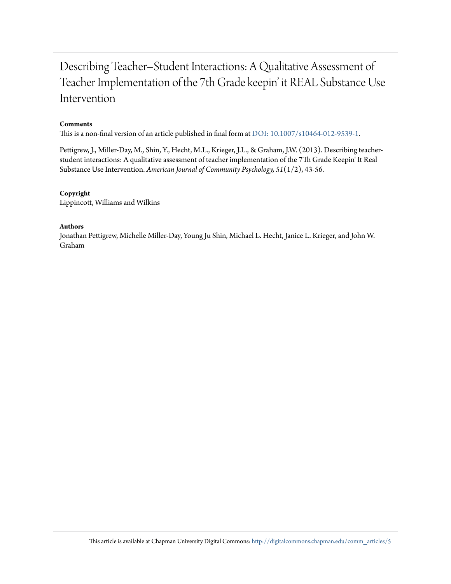# Describing Teacher–Student Interactions: A Qualitative Assessment of Teacher Implementation of the 7th Grade keepin' it REAL Substance Use Intervention

#### **Comments**

This is a non-final version of an article published in final form at [DOI: 10.1007/s10464-012-9539-1](http://dx.doi.org/10.1007/s10464-012-9539-1).

Pettigrew, J., Miller-Day, M., Shin, Y., Hecht, M.L., Krieger, J.L., & Graham, J.W. (2013). Describing teacherstudent interactions: A qualitative assessment of teacher implementation of the 7Th Grade Keepin' It Real Substance Use Intervention. *American Journal of Community Psychology, 51*(1/2), 43-56.

#### **Copyright**

Lippincott, Williams and Wilkins

## **Authors**

Jonathan Pettigrew, Michelle Miller-Day, Young Ju Shin, Michael L. Hecht, Janice L. Krieger, and John W. Graham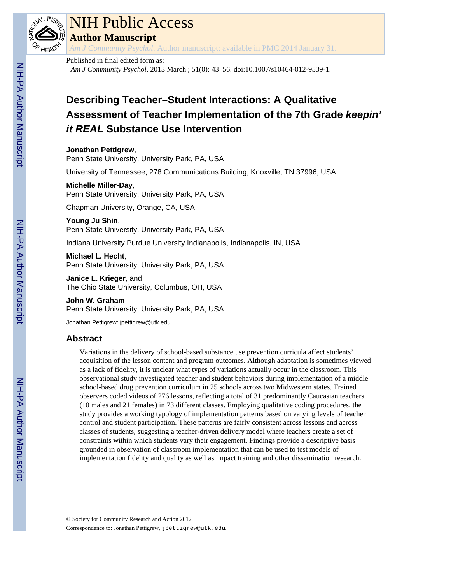

# NIH Public Access

**Author Manuscript**

*Am J Community Psychol*. Author manuscript; available in PMC 2014 January 31.

## Published in final edited form as:

*Am J Community Psychol*. 2013 March ; 51(0): 43–56. doi:10.1007/s10464-012-9539-1.

# **Describing Teacher–Student Interactions: A Qualitative Assessment of Teacher Implementation of the 7th Grade** *keepin' it REAL* **Substance Use Intervention**

**Jonathan Pettigrew**,

Penn State University, University Park, PA, USA

University of Tennessee, 278 Communications Building, Knoxville, TN 37996, USA

## **Michelle Miller-Day**,

Penn State University, University Park, PA, USA

Chapman University, Orange, CA, USA

**Young Ju Shin**, Penn State University, University Park, PA, USA

Indiana University Purdue University Indianapolis, Indianapolis, IN, USA

**Michael L. Hecht**, Penn State University, University Park, PA, USA

**Janice L. Krieger**, and The Ohio State University, Columbus, OH, USA

**John W. Graham** Penn State University, University Park, PA, USA

Jonathan Pettigrew: jpettigrew@utk.edu

# **Abstract**

Variations in the delivery of school-based substance use prevention curricula affect students' acquisition of the lesson content and program outcomes. Although adaptation is sometimes viewed as a lack of fidelity, it is unclear what types of variations actually occur in the classroom. This observational study investigated teacher and student behaviors during implementation of a middle school-based drug prevention curriculum in 25 schools across two Midwestern states. Trained observers coded videos of 276 lessons, reflecting a total of 31 predominantly Caucasian teachers (10 males and 21 females) in 73 different classes. Employing qualitative coding procedures, the study provides a working typology of implementation patterns based on varying levels of teacher control and student participation. These patterns are fairly consistent across lessons and across classes of students, suggesting a teacher-driven delivery model where teachers create a set of constraints within which students vary their engagement. Findings provide a descriptive basis grounded in observation of classroom implementation that can be used to test models of implementation fidelity and quality as well as impact training and other dissemination research.

<sup>©</sup> Society for Community Research and Action 2012

Correspondence to: Jonathan Pettigrew, jpettigrew@utk.edu.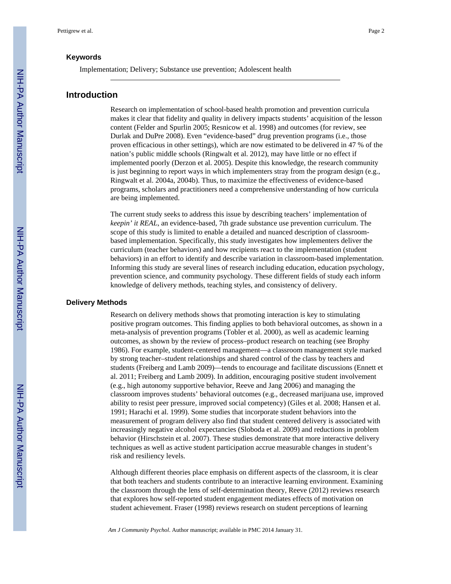### **Keywords**

Implementation; Delivery; Substance use prevention; Adolescent health

# **Introduction**

Research on implementation of school-based health promotion and prevention curricula makes it clear that fidelity and quality in delivery impacts students' acquisition of the lesson content (Felder and Spurlin 2005; Resnicow et al. 1998) and outcomes (for review, see Durlak and DuPre 2008). Even "evidence-based" drug prevention programs (i.e., those proven efficacious in other settings), which are now estimated to be delivered in 47 % of the nation's public middle schools (Ringwalt et al. 2012), may have little or no effect if implemented poorly (Derzon et al. 2005). Despite this knowledge, the research community is just beginning to report ways in which implementers stray from the program design (e.g., Ringwalt et al. 2004a, 2004b). Thus, to maximize the effectiveness of evidence-based programs, scholars and practitioners need a comprehensive understanding of how curricula are being implemented.

The current study seeks to address this issue by describing teachers' implementation of *keepin' it REAL*, an evidence-based, 7th grade substance use prevention curriculum. The scope of this study is limited to enable a detailed and nuanced description of classroombased implementation. Specifically, this study investigates how implementers deliver the curriculum (teacher behaviors) and how recipients react to the implementation (student behaviors) in an effort to identify and describe variation in classroom-based implementation. Informing this study are several lines of research including education, education psychology, prevention science, and community psychology. These different fields of study each inform knowledge of delivery methods, teaching styles, and consistency of delivery.

#### **Delivery Methods**

Research on delivery methods shows that promoting interaction is key to stimulating positive program outcomes. This finding applies to both behavioral outcomes, as shown in a meta-analysis of prevention programs (Tobler et al. 2000), as well as academic learning outcomes, as shown by the review of process–product research on teaching (see Brophy 1986). For example, student-centered management—a classroom management style marked by strong teacher–student relationships and shared control of the class by teachers and students (Freiberg and Lamb 2009)—tends to encourage and facilitate discussions (Ennett et al. 2011; Freiberg and Lamb 2009). In addition, encouraging positive student involvement (e.g., high autonomy supportive behavior, Reeve and Jang 2006) and managing the classroom improves students' behavioral outcomes (e.g., decreased marijuana use, improved ability to resist peer pressure, improved social competency) (Giles et al. 2008; Hansen et al. 1991; Harachi et al. 1999). Some studies that incorporate student behaviors into the measurement of program delivery also find that student centered delivery is associated with increasingly negative alcohol expectancies (Sloboda et al. 2009) and reductions in problem behavior (Hirschstein et al. 2007). These studies demonstrate that more interactive delivery techniques as well as active student participation accrue measurable changes in student's risk and resiliency levels.

Although different theories place emphasis on different aspects of the classroom, it is clear that both teachers and students contribute to an interactive learning environment. Examining the classroom through the lens of self-determination theory, Reeve (2012) reviews research that explores how self-reported student engagement mediates effects of motivation on student achievement. Fraser (1998) reviews research on student perceptions of learning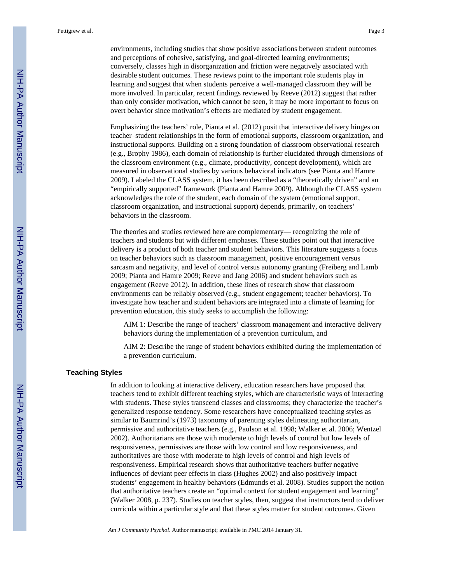environments, including studies that show positive associations between student outcomes and perceptions of cohesive, satisfying, and goal-directed learning environments; conversely, classes high in disorganization and friction were negatively associated with desirable student outcomes. These reviews point to the important role students play in learning and suggest that when students perceive a well-managed classroom they will be more involved. In particular, recent findings reviewed by Reeve (2012) suggest that rather than only consider motivation, which cannot be seen, it may be more important to focus on overt behavior since motivation's effects are mediated by student engagement.

Emphasizing the teachers' role, Pianta et al. (2012) posit that interactive delivery hinges on teacher–student relationships in the form of emotional supports, classroom organization, and instructional supports. Building on a strong foundation of classroom observational research (e.g., Brophy 1986), each domain of relationship is further elucidated through dimensions of the classroom environment (e.g., climate, productivity, concept development), which are measured in observational studies by various behavioral indicators (see Pianta and Hamre 2009). Labeled the CLASS system, it has been described as a "theoretically driven" and an "empirically supported" framework (Pianta and Hamre 2009). Although the CLASS system acknowledges the role of the student, each domain of the system (emotional support, classroom organization, and instructional support) depends, primarily, on teachers' behaviors in the classroom.

The theories and studies reviewed here are complementary— recognizing the role of teachers and students but with different emphases. These studies point out that interactive delivery is a product of both teacher and student behaviors. This literature suggests a focus on teacher behaviors such as classroom management, positive encouragement versus sarcasm and negativity, and level of control versus autonomy granting (Freiberg and Lamb 2009; Pianta and Hamre 2009; Reeve and Jang 2006) and student behaviors such as engagement (Reeve 2012). In addition, these lines of research show that classroom environments can be reliably observed (e.g., student engagement; teacher behaviors). To investigate how teacher and student behaviors are integrated into a climate of learning for prevention education, this study seeks to accomplish the following:

AIM 1: Describe the range of teachers' classroom management and interactive delivery behaviors during the implementation of a prevention curriculum, and

AIM 2: Describe the range of student behaviors exhibited during the implementation of a prevention curriculum.

## **Teaching Styles**

In addition to looking at interactive delivery, education researchers have proposed that teachers tend to exhibit different teaching styles, which are characteristic ways of interacting with students. These styles transcend classes and classrooms; they characterize the teacher's generalized response tendency. Some researchers have conceptualized teaching styles as similar to Baumrind's (1973) taxonomy of parenting styles delineating authoritarian, permissive and authoritative teachers (e.g., Paulson et al. 1998; Walker et al. 2006; Wentzel 2002). Authoritarians are those with moderate to high levels of control but low levels of responsiveness, permissives are those with low control and low responsiveness, and authoritatives are those with moderate to high levels of control and high levels of responsiveness. Empirical research shows that authoritative teachers buffer negative influences of deviant peer effects in class (Hughes 2002) and also positively impact students' engagement in healthy behaviors (Edmunds et al. 2008). Studies support the notion that authoritative teachers create an "optimal context for student engagement and learning" (Walker 2008, p. 237). Studies on teacher styles, then, suggest that instructors tend to deliver curricula within a particular style and that these styles matter for student outcomes. Given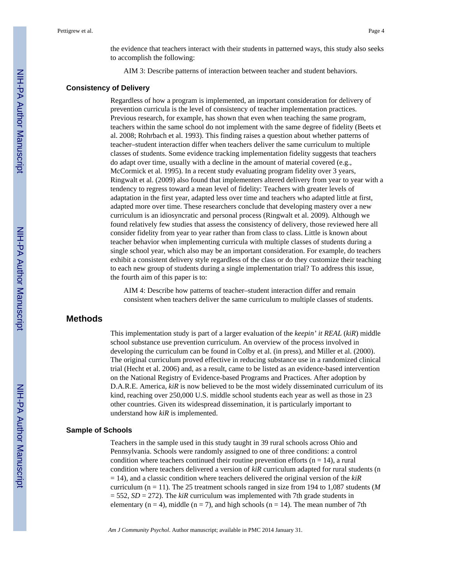the evidence that teachers interact with their students in patterned ways, this study also seeks to accomplish the following:

AIM 3: Describe patterns of interaction between teacher and student behaviors.

#### **Consistency of Delivery**

Regardless of how a program is implemented, an important consideration for delivery of prevention curricula is the level of consistency of teacher implementation practices. Previous research, for example, has shown that even when teaching the same program, teachers within the same school do not implement with the same degree of fidelity (Beets et al. 2008; Rohrbach et al. 1993). This finding raises a question about whether patterns of teacher–student interaction differ when teachers deliver the same curriculum to multiple classes of students. Some evidence tracking implementation fidelity suggests that teachers do adapt over time, usually with a decline in the amount of material covered (e.g., McCormick et al. 1995). In a recent study evaluating program fidelity over 3 years, Ringwalt et al. (2009) also found that implementers altered delivery from year to year with a tendency to regress toward a mean level of fidelity: Teachers with greater levels of adaptation in the first year, adapted less over time and teachers who adapted little at first, adapted more over time. These researchers conclude that developing mastery over a new curriculum is an idiosyncratic and personal process (Ringwalt et al. 2009). Although we found relatively few studies that assess the consistency of delivery, those reviewed here all consider fidelity from year to year rather than from class to class. Little is known about teacher behavior when implementing curricula with multiple classes of students during a single school year, which also may be an important consideration. For example, do teachers exhibit a consistent delivery style regardless of the class or do they customize their teaching to each new group of students during a single implementation trial? To address this issue, the fourth aim of this paper is to:

AIM 4: Describe how patterns of teacher–student interaction differ and remain consistent when teachers deliver the same curriculum to multiple classes of students.

# **Methods**

This implementation study is part of a larger evaluation of the *keepin' it REAL* (*kiR*) middle school substance use prevention curriculum. An overview of the process involved in developing the curriculum can be found in Colby et al. (in press), and Miller et al. (2000). The original curriculum proved effective in reducing substance use in a randomized clinical trial (Hecht et al. 2006) and, as a result, came to be listed as an evidence-based intervention on the National Registry of Evidence-based Programs and Practices. After adoption by D.A.R.E. America, *kiR* is now believed to be the most widely disseminated curriculum of its kind, reaching over 250,000 U.S. middle school students each year as well as those in 23 other countries. Given its widespread dissemination, it is particularly important to understand how *kiR* is implemented.

#### **Sample of Schools**

Teachers in the sample used in this study taught in 39 rural schools across Ohio and Pennsylvania. Schools were randomly assigned to one of three conditions: a control condition where teachers continued their routine prevention efforts ( $n = 14$ ), a rural condition where teachers delivered a version of *kiR* curriculum adapted for rural students (n = 14), and a classic condition where teachers delivered the original version of the *kiR* curriculum ( $n = 11$ ). The 25 treatment schools ranged in size from 194 to 1,087 students (*M*  $= 552$ , *SD* = 272). The *kiR* curriculum was implemented with 7th grade students in elementary ( $n = 4$ ), middle ( $n = 7$ ), and high schools ( $n = 14$ ). The mean number of 7th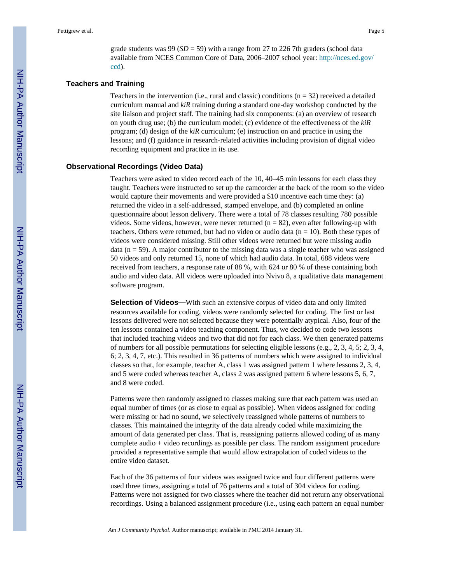grade students was 99 (*SD* = 59) with a range from 27 to 226 7th graders (school data available from NCES Common Core of Data, 2006–2007 school year: [http://nces.ed.gov/](http://nces.ed.gov/ccd) [ccd\)](http://nces.ed.gov/ccd).

#### **Teachers and Training**

Teachers in the intervention (i.e., rural and classic) conditions  $(n = 32)$  received a detailed curriculum manual and *kiR* training during a standard one-day workshop conducted by the site liaison and project staff. The training had six components: (a) an overview of research on youth drug use; (b) the curriculum model; (c) evidence of the effectiveness of the *kiR* program; (d) design of the *kiR* curriculum; (e) instruction on and practice in using the lessons; and (f) guidance in research-related activities including provision of digital video recording equipment and practice in its use.

#### **Observational Recordings (Video Data)**

Teachers were asked to video record each of the 10, 40–45 min lessons for each class they taught. Teachers were instructed to set up the camcorder at the back of the room so the video would capture their movements and were provided a \$10 incentive each time they: (a) returned the video in a self-addressed, stamped envelope, and (b) completed an online questionnaire about lesson delivery. There were a total of 78 classes resulting 780 possible videos. Some videos, however, were never returned ( $n = 82$ ), even after following-up with teachers. Others were returned, but had no video or audio data ( $n = 10$ ). Both these types of videos were considered missing. Still other videos were returned but were missing audio data ( $n = 59$ ). A major contributor to the missing data was a single teacher who was assigned 50 videos and only returned 15, none of which had audio data. In total, 688 videos were received from teachers, a response rate of 88 %, with 624 or 80 % of these containing both audio and video data. All videos were uploaded into Nvivo 8, a qualitative data management software program.

**Selection of Videos—**With such an extensive corpus of video data and only limited resources available for coding, videos were randomly selected for coding. The first or last lessons delivered were not selected because they were potentially atypical. Also, four of the ten lessons contained a video teaching component. Thus, we decided to code two lessons that included teaching videos and two that did not for each class. We then generated patterns of numbers for all possible permutations for selecting eligible lessons (e.g., 2, 3, 4, 5; 2, 3, 4, 6; 2, 3, 4, 7, etc.). This resulted in 36 patterns of numbers which were assigned to individual classes so that, for example, teacher A, class 1 was assigned pattern 1 where lessons 2, 3, 4, and 5 were coded whereas teacher A, class 2 was assigned pattern 6 where lessons 5, 6, 7, and 8 were coded.

Patterns were then randomly assigned to classes making sure that each pattern was used an equal number of times (or as close to equal as possible). When videos assigned for coding were missing or had no sound, we selectively reassigned whole patterns of numbers to classes. This maintained the integrity of the data already coded while maximizing the amount of data generated per class. That is, reassigning patterns allowed coding of as many complete audio + video recordings as possible per class. The random assignment procedure provided a representative sample that would allow extrapolation of coded videos to the entire video dataset.

Each of the 36 patterns of four videos was assigned twice and four different patterns were used three times, assigning a total of 76 patterns and a total of 304 videos for coding. Patterns were not assigned for two classes where the teacher did not return any observational recordings. Using a balanced assignment procedure (i.e., using each pattern an equal number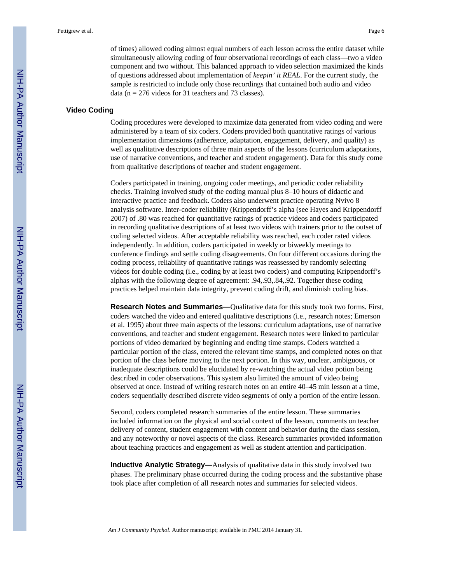of times) allowed coding almost equal numbers of each lesson across the entire dataset while simultaneously allowing coding of four observational recordings of each class—two a video component and two without. This balanced approach to video selection maximized the kinds of questions addressed about implementation of *keepin' it REAL*. For the current study, the sample is restricted to include only those recordings that contained both audio and video data ( $n = 276$  videos for 31 teachers and 73 classes).

## **Video Coding**

Coding procedures were developed to maximize data generated from video coding and were administered by a team of six coders. Coders provided both quantitative ratings of various implementation dimensions (adherence, adaptation, engagement, delivery, and quality) as well as qualitative descriptions of three main aspects of the lessons (curriculum adaptations, use of narrative conventions, and teacher and student engagement). Data for this study come from qualitative descriptions of teacher and student engagement.

Coders participated in training, ongoing coder meetings, and periodic coder reliability checks. Training involved study of the coding manual plus 8–10 hours of didactic and interactive practice and feedback. Coders also underwent practice operating Nvivo 8 analysis software. Inter-coder reliability (Krippendorff's alpha (see Hayes and Krippendorff 2007) of .80 was reached for quantitative ratings of practice videos and coders participated in recording qualitative descriptions of at least two videos with trainers prior to the outset of coding selected videos. After acceptable reliability was reached, each coder rated videos independently. In addition, coders participated in weekly or biweekly meetings to conference findings and settle coding disagreements. On four different occasions during the coding process, reliability of quantitative ratings was reassessed by randomly selecting videos for double coding (i.e., coding by at least two coders) and computing Krippendorff's alphas with the following degree of agreement: .94,.93,.84,.92. Together these coding practices helped maintain data integrity, prevent coding drift, and diminish coding bias.

**Research Notes and Summaries—**Qualitative data for this study took two forms. First, coders watched the video and entered qualitative descriptions (i.e., research notes; Emerson et al. 1995) about three main aspects of the lessons: curriculum adaptations, use of narrative conventions, and teacher and student engagement. Research notes were linked to particular portions of video demarked by beginning and ending time stamps. Coders watched a particular portion of the class, entered the relevant time stamps, and completed notes on that portion of the class before moving to the next portion. In this way, unclear, ambiguous, or inadequate descriptions could be elucidated by re-watching the actual video potion being described in coder observations. This system also limited the amount of video being observed at once. Instead of writing research notes on an entire 40–45 min lesson at a time, coders sequentially described discrete video segments of only a portion of the entire lesson.

Second, coders completed research summaries of the entire lesson. These summaries included information on the physical and social context of the lesson, comments on teacher delivery of content, student engagement with content and behavior during the class session, and any noteworthy or novel aspects of the class. Research summaries provided information about teaching practices and engagement as well as student attention and participation.

**Inductive Analytic Strategy—Analysis of qualitative data in this study involved two** phases. The preliminary phase occurred during the coding process and the substantive phase took place after completion of all research notes and summaries for selected videos.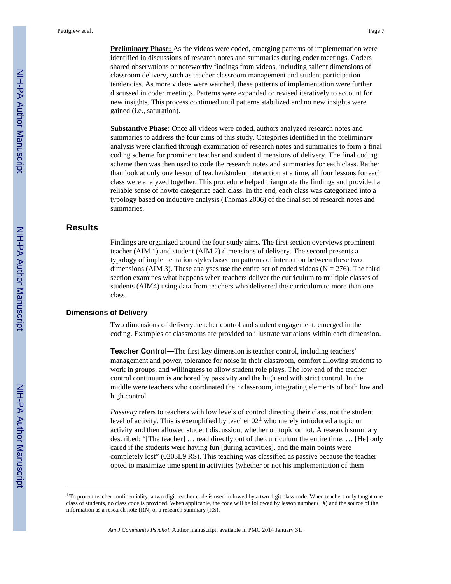Pettigrew et al. Page 7

**Preliminary Phase:** As the videos were coded, emerging patterns of implementation were identified in discussions of research notes and summaries during coder meetings. Coders shared observations or noteworthy findings from videos, including salient dimensions of classroom delivery, such as teacher classroom management and student participation tendencies. As more videos were watched, these patterns of implementation were further discussed in coder meetings. Patterns were expanded or revised iteratively to account for new insights. This process continued until patterns stabilized and no new insights were gained (i.e., saturation).

**Substantive Phase:** Once all videos were coded, authors analyzed research notes and summaries to address the four aims of this study. Categories identified in the preliminary analysis were clarified through examination of research notes and summaries to form a final coding scheme for prominent teacher and student dimensions of delivery. The final coding scheme then was then used to code the research notes and summaries for each class. Rather than look at only one lesson of teacher/student interaction at a time, all four lessons for each class were analyzed together. This procedure helped triangulate the findings and provided a reliable sense of howto categorize each class. In the end, each class was categorized into a typology based on inductive analysis (Thomas 2006) of the final set of research notes and summaries.

# **Results**

Findings are organized around the four study aims. The first section overviews prominent teacher (AIM 1) and student (AIM 2) dimensions of delivery. The second presents a typology of implementation styles based on patterns of interaction between these two dimensions (AIM 3). These analyses use the entire set of coded videos ( $N = 276$ ). The third section examines what happens when teachers deliver the curriculum to multiple classes of students (AIM4) using data from teachers who delivered the curriculum to more than one class.

#### **Dimensions of Delivery**

Two dimensions of delivery, teacher control and student engagement, emerged in the coding. Examples of classrooms are provided to illustrate variations within each dimension.

**Teacher Control—**The first key dimension is teacher control, including teachers' management and power, tolerance for noise in their classroom, comfort allowing students to work in groups, and willingness to allow student role plays. The low end of the teacher control continuum is anchored by passivity and the high end with strict control. In the middle were teachers who coordinated their classroom, integrating elements of both low and high control.

*Passivity* refers to teachers with low levels of control directing their class, not the student level of activity. This is exemplified by teacher  $02<sup>1</sup>$  who merely introduced a topic or activity and then allowed student discussion, whether on topic or not. A research summary described: "[The teacher] … read directly out of the curriculum the entire time. … [He] only cared if the students were having fun [during activities], and the main points were completely lost" (0203L9 RS). This teaching was classified as passive because the teacher opted to maximize time spent in activities (whether or not his implementation of them

 $1$ To protect teacher confidentiality, a two digit teacher code is used followed by a two digit class code. When teachers only taught one class of students, no class code is provided. When applicable, the code will be followed by lesson number (L#) and the source of the information as a research note (RN) or a research summary (RS).

*Am J Community Psychol*. Author manuscript; available in PMC 2014 January 31.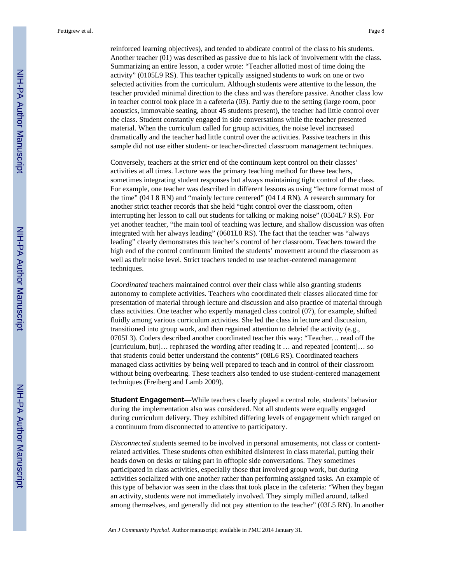reinforced learning objectives), and tended to abdicate control of the class to his students. Another teacher (01) was described as passive due to his lack of involvement with the class. Summarizing an entire lesson, a coder wrote: "Teacher allotted most of time doing the activity" (0105L9 RS). This teacher typically assigned students to work on one or two selected activities from the curriculum. Although students were attentive to the lesson, the teacher provided minimal direction to the class and was therefore passive. Another class low in teacher control took place in a cafeteria (03). Partly due to the setting (large room, poor acoustics, immovable seating, about 45 students present), the teacher had little control over the class. Student constantly engaged in side conversations while the teacher presented material. When the curriculum called for group activities, the noise level increased dramatically and the teacher had little control over the activities. Passive teachers in this sample did not use either student- or teacher-directed classroom management techniques.

Conversely, teachers at the *strict* end of the continuum kept control on their classes' activities at all times. Lecture was the primary teaching method for these teachers, sometimes integrating student responses but always maintaining tight control of the class. For example, one teacher was described in different lessons as using "lecture format most of the time" (04 L8 RN) and "mainly lecture centered" (04 L4 RN). A research summary for another strict teacher records that she held "tight control over the classroom, often interrupting her lesson to call out students for talking or making noise" (0504L7 RS). For yet another teacher, "the main tool of teaching was lecture, and shallow discussion was often integrated with her always leading" (0601L8 RS). The fact that the teacher was "always leading" clearly demonstrates this teacher's control of her classroom. Teachers toward the high end of the control continuum limited the students' movement around the classroom as well as their noise level. Strict teachers tended to use teacher-centered management techniques.

*Coordinated* teachers maintained control over their class while also granting students autonomy to complete activities. Teachers who coordinated their classes allocated time for presentation of material through lecture and discussion and also practice of material through class activities. One teacher who expertly managed class control (07), for example, shifted fluidly among various curriculum activities. She led the class in lecture and discussion, transitioned into group work, and then regained attention to debrief the activity (e.g., 0705L3). Coders described another coordinated teacher this way: "Teacher… read off the [curriculum, but]… rephrased the wording after reading it … and repeated [content]… so that students could better understand the contents" (08L6 RS). Coordinated teachers managed class activities by being well prepared to teach and in control of their classroom without being overbearing. These teachers also tended to use student-centered management techniques (Freiberg and Lamb 2009).

**Student Engagement—**While teachers clearly played a central role, students' behavior during the implementation also was considered. Not all students were equally engaged during curriculum delivery. They exhibited differing levels of engagement which ranged on a continuum from disconnected to attentive to participatory.

*Disconnected s*tudents seemed to be involved in personal amusements, not class or contentrelated activities. These students often exhibited disinterest in class material, putting their heads down on desks or taking part in offtopic side conversations. They sometimes participated in class activities, especially those that involved group work, but during activities socialized with one another rather than performing assigned tasks. An example of this type of behavior was seen in the class that took place in the cafeteria: "When they began an activity, students were not immediately involved. They simply milled around, talked among themselves, and generally did not pay attention to the teacher" (03L5 RN). In another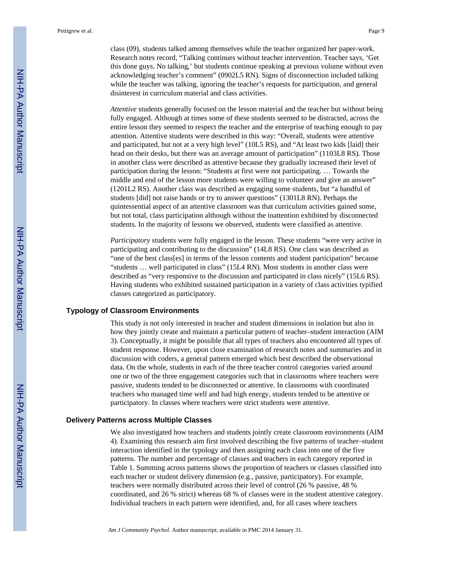class (09), students talked among themselves while the teacher organized her paper-work. Research notes record, "Talking continues without teacher intervention. Teacher says, 'Get this done guys. No talking,' but students continue speaking at previous volume without even acknowledging teacher's comment" (0902L5 RN). Signs of disconnection included talking while the teacher was talking, ignoring the teacher's requests for participation, and general disinterest in curriculum material and class activities.

*Attentive* students generally focused on the lesson material and the teacher but without being fully engaged. Although at times some of these students seemed to be distracted, across the entire lesson they seemed to respect the teacher and the enterprise of teaching enough to pay attention. Attentive students were described in this way: "Overall, students were attentive and participated, but not at a very high level" (10L5 RS), and "At least two kids [laid] their head on their desks, but there was an average amount of participation" (1103L8 RS). Those in another class were described as attentive because they gradually increased their level of participation during the lesson: "Students at first were not participating. … Towards the middle and end of the lesson more students were willing to volunteer and give an answer" (1201L2 RS). Another class was described as engaging some students, but "a handful of students [did] not raise hands or try to answer questions" (1301L8 RN). Perhaps the quintessential aspect of an attentive classroom was that curriculum activities gained some, but not total, class participation although without the inattention exhibited by disconnected students. In the majority of lessons we observed, students were classified as attentive.

*Participatory* students were fully engaged in the lesson. These students "were very active in participating and contributing to the discussion" (14L8 RS). One class was described as "one of the best class[es] in terms of the lesson contents and student participation" because "students … well participated in class" (15L4 RN). Most students in another class were described as "very responsive to the discussion and participated in class nicely" (15L6 RS). Having students who exhibited sustained participation in a variety of class activities typified classes categorized as participatory.

#### **Typology of Classroom Environments**

This study is not only interested in teacher and student dimensions in isolation but also in how they jointly create and maintain a particular pattern of teacher–student interaction (AIM 3). Conceptually, it might be possible that all types of teachers also encountered all types of student response. However, upon close examination of research notes and summaries and in discussion with coders, a general pattern emerged which best described the observational data. On the whole, students in each of the three teacher control categories varied around one or two of the three engagement categories such that in classrooms where teachers were passive, students tended to be disconnected or attentive. In classrooms with coordinated teachers who managed time well and had high energy, students tended to be attentive or participatory. In classes where teachers were strict students were attentive.

#### **Delivery Patterns across Multiple Classes**

We also investigated how teachers and students jointly create classroom environments (AIM 4). Examining this research aim first involved describing the five patterns of teacher–student interaction identified in the typology and then assigning each class into one of the five patterns. The number and percentage of classes and teachers in each category reported in Table 1. Summing across patterns shows the proportion of teachers or classes classified into each teacher or student delivery dimension (e.g., passive, participatory). For example, teachers were normally distributed across their level of control (26 % passive, 48 % coordinated, and 26 % strict) whereas 68 % of classes were in the student attentive category. Individual teachers in each pattern were identified, and, for all cases where teachers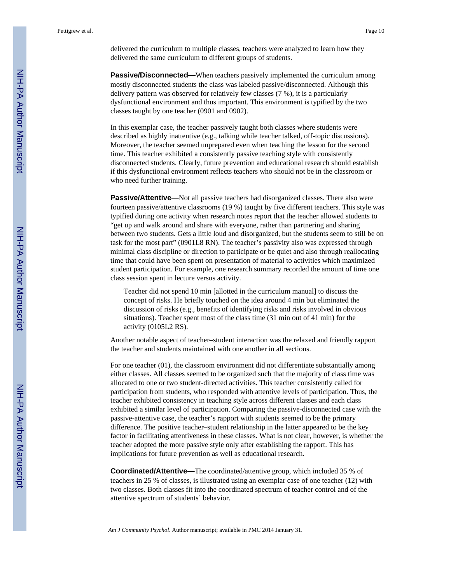delivered the curriculum to multiple classes, teachers were analyzed to learn how they delivered the same curriculum to different groups of students.

**Passive/Disconnected—**When teachers passively implemented the curriculum among mostly disconnected students the class was labeled passive/disconnected. Although this delivery pattern was observed for relatively few classes (7 %), it is a particularly dysfunctional environment and thus important. This environment is typified by the two classes taught by one teacher (0901 and 0902).

In this exemplar case, the teacher passively taught both classes where students were described as highly inattentive (e.g., talking while teacher talked, off-topic discussions). Moreover, the teacher seemed unprepared even when teaching the lesson for the second time. This teacher exhibited a consistently passive teaching style with consistently disconnected students. Clearly, future prevention and educational research should establish if this dysfunctional environment reflects teachers who should not be in the classroom or who need further training.

**Passive/Attentive—**Not all passive teachers had disorganized classes. There also were fourteen passive/attentive classrooms (19 %) taught by five different teachers. This style was typified during one activity when research notes report that the teacher allowed students to "get up and walk around and share with everyone, rather than partnering and sharing between two students. Gets a little loud and disorganized, but the students seem to still be on task for the most part" (0901L8 RN). The teacher's passivity also was expressed through minimal class discipline or direction to participate or be quiet and also through reallocating time that could have been spent on presentation of material to activities which maximized student participation. For example, one research summary recorded the amount of time one class session spent in lecture versus activity.

Teacher did not spend 10 min [allotted in the curriculum manual] to discuss the concept of risks. He briefly touched on the idea around 4 min but eliminated the discussion of risks (e.g., benefits of identifying risks and risks involved in obvious situations). Teacher spent most of the class time (31 min out of 41 min) for the activity (0105L2 RS).

Another notable aspect of teacher–student interaction was the relaxed and friendly rapport the teacher and students maintained with one another in all sections.

For one teacher (01), the classroom environment did not differentiate substantially among either classes. All classes seemed to be organized such that the majority of class time was allocated to one or two student-directed activities. This teacher consistently called for participation from students, who responded with attentive levels of participation. Thus, the teacher exhibited consistency in teaching style across different classes and each class exhibited a similar level of participation. Comparing the passive-disconnected case with the passive-attentive case, the teacher's rapport with students seemed to be the primary difference. The positive teacher–student relationship in the latter appeared to be the key factor in facilitating attentiveness in these classes. What is not clear, however, is whether the teacher adopted the more passive style only after establishing the rapport. This has implications for future prevention as well as educational research.

**Coordinated/Attentive—**The coordinated/attentive group, which included 35 % of teachers in 25 % of classes, is illustrated using an exemplar case of one teacher (12) with two classes. Both classes fit into the coordinated spectrum of teacher control and of the attentive spectrum of students' behavior.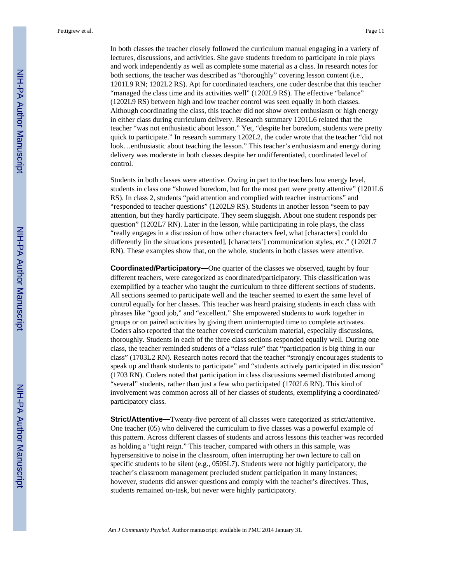In both classes the teacher closely followed the curriculum manual engaging in a variety of lectures, discussions, and activities. She gave students freedom to participate in role plays and work independently as well as complete some material as a class. In research notes for both sections, the teacher was described as "thoroughly" covering lesson content (i.e., 1201L9 RN; 1202L2 RS). Apt for coordinated teachers, one coder describe that this teacher "managed the class time and its activities well" (1202L9 RS). The effective "balance" (1202L9 RS) between high and low teacher control was seen equally in both classes. Although coordinating the class, this teacher did not show overt enthusiasm or high energy in either class during curriculum delivery. Research summary 1201L6 related that the teacher "was not enthusiastic about lesson." Yet, "despite her boredom, students were pretty quick to participate." In research summary 1202L2, the coder wrote that the teacher "did not look…enthusiastic about teaching the lesson." This teacher's enthusiasm and energy during delivery was moderate in both classes despite her undifferentiated, coordinated level of control.

Students in both classes were attentive. Owing in part to the teachers low energy level, students in class one "showed boredom, but for the most part were pretty attentive" (1201L6 RS). In class 2, students "paid attention and complied with teacher instructions" and "responded to teacher questions" (1202L9 RS). Students in another lesson "seem to pay attention, but they hardly participate. They seem sluggish. About one student responds per question" (1202L7 RN). Later in the lesson, while participating in role plays, the class "really engages in a discussion of how other characters feel, what [characters] could do differently [in the situations presented], [characters'] communication styles, etc." (1202L7 RN). These examples show that, on the whole, students in both classes were attentive.

**Coordinated/Participatory—**One quarter of the classes we observed, taught by four different teachers, were categorized as coordinated/participatory. This classification was exemplified by a teacher who taught the curriculum to three different sections of students. All sections seemed to participate well and the teacher seemed to exert the same level of control equally for her classes. This teacher was heard praising students in each class with phrases like "good job," and "excellent." She empowered students to work together in groups or on paired activities by giving them uninterrupted time to complete activates. Coders also reported that the teacher covered curriculum material, especially discussions, thoroughly. Students in each of the three class sections responded equally well. During one class, the teacher reminded students of a "class rule" that "participation is big thing in our class" (1703L2 RN). Research notes record that the teacher "strongly encourages students to speak up and thank students to participate" and "students actively participated in discussion" (1703 RN). Coders noted that participation in class discussions seemed distributed among "several" students, rather than just a few who participated (1702L6 RN). This kind of involvement was common across all of her classes of students, exemplifying a coordinated/ participatory class.

**Strict/Attentive—**Twenty-five percent of all classes were categorized as strict/attentive. One teacher (05) who delivered the curriculum to five classes was a powerful example of this pattern. Across different classes of students and across lessons this teacher was recorded as holding a "tight reign." This teacher, compared with others in this sample, was hypersensitive to noise in the classroom, often interrupting her own lecture to call on specific students to be silent (e.g., 0505L7). Students were not highly participatory, the teacher's classroom management precluded student participation in many instances; however, students did answer questions and comply with the teacher's directives. Thus, students remained on-task, but never were highly participatory.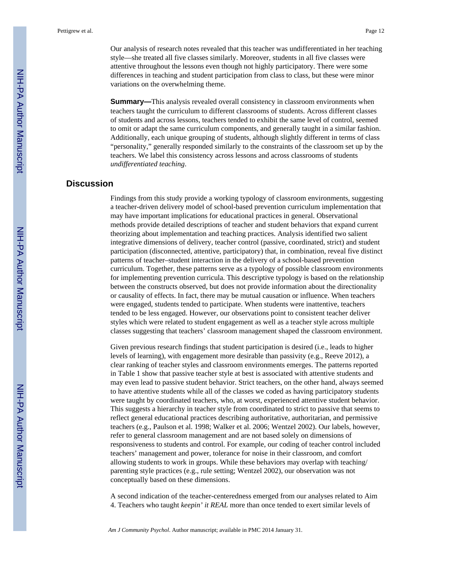Our analysis of research notes revealed that this teacher was undifferentiated in her teaching style—she treated all five classes similarly. Moreover, students in all five classes were attentive throughout the lessons even though not highly participatory. There were some differences in teaching and student participation from class to class, but these were minor variations on the overwhelming theme.

**Summary—**This analysis revealed overall consistency in classroom environments when teachers taught the curriculum to different classrooms of students. Across different classes of students and across lessons, teachers tended to exhibit the same level of control, seemed to omit or adapt the same curriculum components, and generally taught in a similar fashion. Additionally, each unique grouping of students, although slightly different in terms of class "personality," generally responded similarly to the constraints of the classroom set up by the teachers. We label this consistency across lessons and across classrooms of students *undifferentiated teaching*.

# **Discussion**

Findings from this study provide a working typology of classroom environments, suggesting a teacher-driven delivery model of school-based prevention curriculum implementation that may have important implications for educational practices in general. Observational methods provide detailed descriptions of teacher and student behaviors that expand current theorizing about implementation and teaching practices. Analysis identified two salient integrative dimensions of delivery, teacher control (passive, coordinated, strict) and student participation (disconnected, attentive, participatory) that, in combination, reveal five distinct patterns of teacher–student interaction in the delivery of a school-based prevention curriculum. Together, these patterns serve as a typology of possible classroom environments for implementing prevention curricula. This descriptive typology is based on the relationship between the constructs observed, but does not provide information about the directionality or causality of effects. In fact, there may be mutual causation or influence. When teachers were engaged, students tended to participate. When students were inattentive, teachers tended to be less engaged. However, our observations point to consistent teacher deliver styles which were related to student engagement as well as a teacher style across multiple classes suggesting that teachers' classroom management shaped the classroom environment.

Given previous research findings that student participation is desired (i.e., leads to higher levels of learning), with engagement more desirable than passivity (e.g., Reeve 2012), a clear ranking of teacher styles and classroom environments emerges. The patterns reported in Table 1 show that passive teacher style at best is associated with attentive students and may even lead to passive student behavior. Strict teachers, on the other hand, always seemed to have attentive students while all of the classes we coded as having participatory students were taught by coordinated teachers, who, at worst, experienced attentive student behavior. This suggests a hierarchy in teacher style from coordinated to strict to passive that seems to reflect general educational practices describing authoritative, authoritarian, and permissive teachers (e.g., Paulson et al. 1998; Walker et al. 2006; Wentzel 2002). Our labels, however, refer to general classroom management and are not based solely on dimensions of responsiveness to students and control. For example, our coding of teacher control included teachers' management and power, tolerance for noise in their classroom, and comfort allowing students to work in groups. While these behaviors may overlap with teaching/ parenting style practices (e.g., rule setting; Wentzel 2002), our observation was not conceptually based on these dimensions.

A second indication of the teacher-centeredness emerged from our analyses related to Aim 4. Teachers who taught *keepin' it REAL* more than once tended to exert similar levels of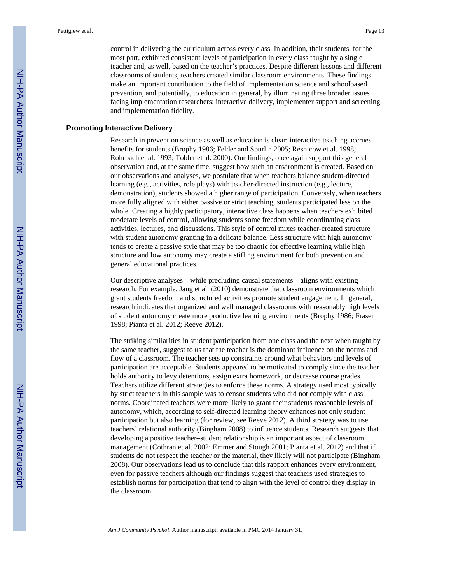control in delivering the curriculum across every class. In addition, their students, for the most part, exhibited consistent levels of participation in every class taught by a single teacher and, as well, based on the teacher's practices. Despite different lessons and different classrooms of students, teachers created similar classroom environments. These findings make an important contribution to the field of implementation science and schoolbased prevention, and potentially, to education in general, by illuminating three broader issues facing implementation researchers: interactive delivery, implementer support and screening, and implementation fidelity.

#### **Promoting Interactive Delivery**

Research in prevention science as well as education is clear: interactive teaching accrues benefits for students (Brophy 1986; Felder and Spurlin 2005; Resnicow et al. 1998; Rohrbach et al. 1993; Tobler et al. 2000). Our findings, once again support this general observation and, at the same time, suggest how such an environment is created. Based on our observations and analyses, we postulate that when teachers balance student-directed learning (e.g., activities, role plays) with teacher-directed instruction (e.g., lecture, demonstration), students showed a higher range of participation. Conversely, when teachers more fully aligned with either passive or strict teaching, students participated less on the whole. Creating a highly participatory, interactive class happens when teachers exhibited moderate levels of control, allowing students some freedom while coordinating class activities, lectures, and discussions. This style of control mixes teacher-created structure with student autonomy granting in a delicate balance. Less structure with high autonomy tends to create a passive style that may be too chaotic for effective learning while high structure and low autonomy may create a stifling environment for both prevention and general educational practices.

Our descriptive analyses—while precluding causal statements—aligns with existing research. For example, Jang et al. (2010) demonstrate that classroom environments which grant students freedom and structured activities promote student engagement. In general, research indicates that organized and well managed classrooms with reasonably high levels of student autonomy create more productive learning environments (Brophy 1986; Fraser 1998; Pianta et al. 2012; Reeve 2012).

The striking similarities in student participation from one class and the next when taught by the same teacher, suggest to us that the teacher is the dominant influence on the norms and flow of a classroom. The teacher sets up constraints around what behaviors and levels of participation are acceptable. Students appeared to be motivated to comply since the teacher holds authority to levy detentions, assign extra homework, or decrease course grades. Teachers utilize different strategies to enforce these norms. A strategy used most typically by strict teachers in this sample was to censor students who did not comply with class norms. Coordinated teachers were more likely to grant their students reasonable levels of autonomy, which, according to self-directed learning theory enhances not only student participation but also learning (for review, see Reeve 2012). A third strategy was to use teachers' relational authority (Bingham 2008) to influence students. Research suggests that developing a positive teacher–student relationship is an important aspect of classroom management (Cothran et al. 2002; Emmer and Stough 2001; Pianta et al. 2012) and that if students do not respect the teacher or the material, they likely will not participate (Bingham 2008). Our observations lead us to conclude that this rapport enhances every environment, even for passive teachers although our findings suggest that teachers used strategies to establish norms for participation that tend to align with the level of control they display in the classroom.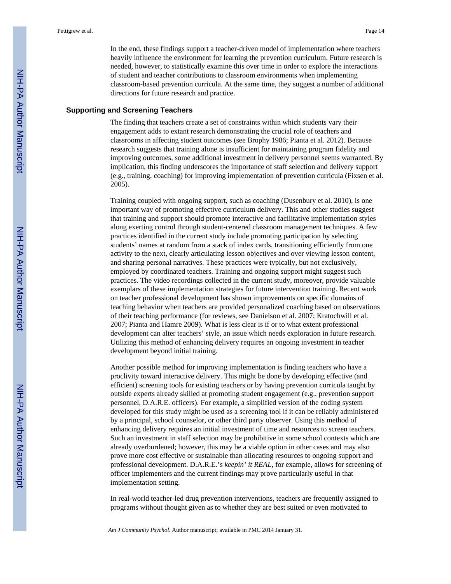In the end, these findings support a teacher-driven model of implementation where teachers heavily influence the environment for learning the prevention curriculum. Future research is needed, however, to statistically examine this over time in order to explore the interactions of student and teacher contributions to classroom environments when implementing classroom-based prevention curricula. At the same time, they suggest a number of additional directions for future research and practice.

#### **Supporting and Screening Teachers**

The finding that teachers create a set of constraints within which students vary their engagement adds to extant research demonstrating the crucial role of teachers and classrooms in affecting student outcomes (see Brophy 1986; Pianta et al. 2012). Because research suggests that training alone is insufficient for maintaining program fidelity and improving outcomes, some additional investment in delivery personnel seems warranted. By implication, this finding underscores the importance of staff selection and delivery support (e.g., training, coaching) for improving implementation of prevention curricula (Fixsen et al. 2005).

Training coupled with ongoing support, such as coaching (Dusenbury et al. 2010), is one important way of promoting effective curriculum delivery. This and other studies suggest that training and support should promote interactive and facilitative implementation styles along exerting control through student-centered classroom management techniques. A few practices identified in the current study include promoting participation by selecting students' names at random from a stack of index cards, transitioning efficiently from one activity to the next, clearly articulating lesson objectives and over viewing lesson content, and sharing personal narratives. These practices were typically, but not exclusively, employed by coordinated teachers. Training and ongoing support might suggest such practices. The video recordings collected in the current study, moreover, provide valuable exemplars of these implementation strategies for future intervention training. Recent work on teacher professional development has shown improvements on specific domains of teaching behavior when teachers are provided personalized coaching based on observations of their teaching performance (for reviews, see Danielson et al. 2007; Kratochwill et al. 2007; Pianta and Hamre 2009). What is less clear is if or to what extent professional development can alter teachers' style, an issue which needs exploration in future research. Utilizing this method of enhancing delivery requires an ongoing investment in teacher development beyond initial training.

Another possible method for improving implementation is finding teachers who have a proclivity toward interactive delivery. This might be done by developing effective (and efficient) screening tools for existing teachers or by having prevention curricula taught by outside experts already skilled at promoting student engagement (e.g., prevention support personnel, D.A.R.E. officers). For example, a simplified version of the coding system developed for this study might be used as a screening tool if it can be reliably administered by a principal, school counselor, or other third party observer. Using this method of enhancing delivery requires an initial investment of time and resources to screen teachers. Such an investment in staff selection may be prohibitive in some school contexts which are already overburdened; however, this may be a viable option in other cases and may also prove more cost effective or sustainable than allocating resources to ongoing support and professional development. D.A.R.E.'s *keepin' it REAL*, for example, allows for screening of officer implementers and the current findings may prove particularly useful in that implementation setting.

In real-world teacher-led drug prevention interventions, teachers are frequently assigned to programs without thought given as to whether they are best suited or even motivated to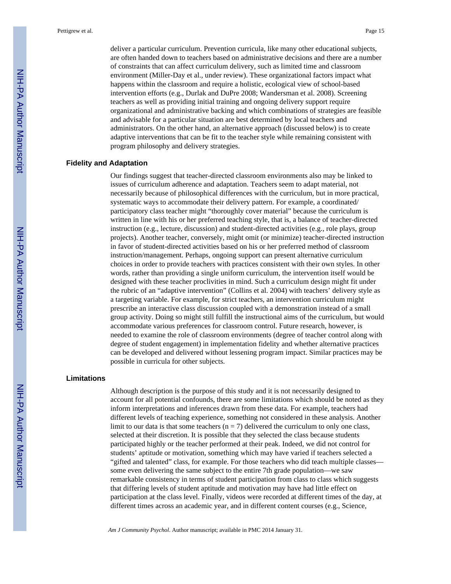deliver a particular curriculum. Prevention curricula, like many other educational subjects, are often handed down to teachers based on administrative decisions and there are a number of constraints that can affect curriculum delivery, such as limited time and classroom environment (Miller-Day et al., under review). These organizational factors impact what happens within the classroom and require a holistic, ecological view of school-based intervention efforts (e.g., Durlak and DuPre 2008; Wandersman et al. 2008). Screening teachers as well as providing initial training and ongoing delivery support require organizational and administrative backing and which combinations of strategies are feasible and advisable for a particular situation are best determined by local teachers and administrators. On the other hand, an alternative approach (discussed below) is to create adaptive interventions that can be fit to the teacher style while remaining consistent with program philosophy and delivery strategies.

#### **Fidelity and Adaptation**

Our findings suggest that teacher-directed classroom environments also may be linked to issues of curriculum adherence and adaptation. Teachers seem to adapt material, not necessarily because of philosophical differences with the curriculum, but in more practical, systematic ways to accommodate their delivery pattern. For example, a coordinated/ participatory class teacher might "thoroughly cover material" because the curriculum is written in line with his or her preferred teaching style, that is, a balance of teacher-directed instruction (e.g., lecture, discussion) and student-directed activities (e.g., role plays, group projects). Another teacher, conversely, might omit (or minimize) teacher-directed instruction in favor of student-directed activities based on his or her preferred method of classroom instruction/management. Perhaps, ongoing support can present alternative curriculum choices in order to provide teachers with practices consistent with their own styles. In other words, rather than providing a single uniform curriculum, the intervention itself would be designed with these teacher proclivities in mind. Such a curriculum design might fit under the rubric of an "adaptive intervention" (Collins et al. 2004) with teachers' delivery style as a targeting variable. For example, for strict teachers, an intervention curriculum might prescribe an interactive class discussion coupled with a demonstration instead of a small group activity. Doing so might still fulfill the instructional aims of the curriculum, but would accommodate various preferences for classroom control. Future research, however, is needed to examine the role of classroom environments (degree of teacher control along with degree of student engagement) in implementation fidelity and whether alternative practices can be developed and delivered without lessening program impact. Similar practices may be possible in curricula for other subjects.

#### **Limitations**

Although description is the purpose of this study and it is not necessarily designed to account for all potential confounds, there are some limitations which should be noted as they inform interpretations and inferences drawn from these data. For example, teachers had different levels of teaching experience, something not considered in these analysis. Another limit to our data is that some teachers ( $n = 7$ ) delivered the curriculum to only one class, selected at their discretion. It is possible that they selected the class because students participated highly or the teacher performed at their peak. Indeed, we did not control for students' aptitude or motivation, something which may have varied if teachers selected a "gifted and talented" class, for example. For those teachers who did teach multiple classes some even delivering the same subject to the entire 7th grade population—we saw remarkable consistency in terms of student participation from class to class which suggests that differing levels of student aptitude and motivation may have had little effect on participation at the class level. Finally, videos were recorded at different times of the day, at different times across an academic year, and in different content courses (e.g., Science,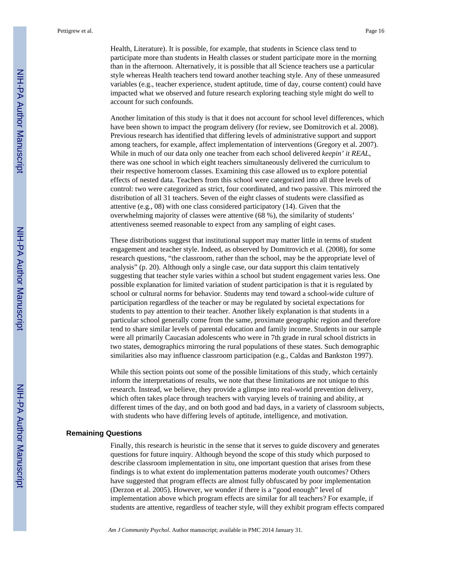Health, Literature). It is possible, for example, that students in Science class tend to participate more than students in Health classes or student participate more in the morning than in the afternoon. Alternatively, it is possible that all Science teachers use a particular style whereas Health teachers tend toward another teaching style. Any of these unmeasured variables (e.g., teacher experience, student aptitude, time of day, course content) could have impacted what we observed and future research exploring teaching style might do well to account for such confounds.

Another limitation of this study is that it does not account for school level differences, which have been shown to impact the program delivery (for review, see Domitrovich et al. 2008). Previous research has identified that differing levels of administrative support and support among teachers, for example, affect implementation of interventions (Gregory et al. 2007). While in much of our data only one teacher from each school delivered *keepin' it REAL*, there was one school in which eight teachers simultaneously delivered the curriculum to their respective homeroom classes. Examining this case allowed us to explore potential effects of nested data. Teachers from this school were categorized into all three levels of control: two were categorized as strict, four coordinated, and two passive. This mirrored the distribution of all 31 teachers. Seven of the eight classes of students were classified as attentive (e.g., 08) with one class considered participatory (14). Given that the overwhelming majority of classes were attentive (68 %), the similarity of students' attentiveness seemed reasonable to expect from any sampling of eight cases.

These distributions suggest that institutional support may matter little in terms of student engagement and teacher style. Indeed, as observed by Domitrovich et al. (2008), for some research questions, "the classroom, rather than the school, may be the appropriate level of analysis" (p. 20). Although only a single case, our data support this claim tentatively suggesting that teacher style varies within a school but student engagement varies less. One possible explanation for limited variation of student participation is that it is regulated by school or cultural norms for behavior. Students may tend toward a school-wide culture of participation regardless of the teacher or may be regulated by societal expectations for students to pay attention to their teacher. Another likely explanation is that students in a particular school generally come from the same, proximate geographic region and therefore tend to share similar levels of parental education and family income. Students in our sample were all primarily Caucasian adolescents who were in 7th grade in rural school districts in two states, demographics mirroring the rural populations of these states. Such demographic similarities also may influence classroom participation (e.g., Caldas and Bankston 1997).

While this section points out some of the possible limitations of this study, which certainly inform the interpretations of results, we note that these limitations are not unique to this research. Instead, we believe, they provide a glimpse into real-world prevention delivery, which often takes place through teachers with varying levels of training and ability, at different times of the day, and on both good and bad days, in a variety of classroom subjects, with students who have differing levels of aptitude, intelligence, and motivation.

#### **Remaining Questions**

Finally, this research is heuristic in the sense that it serves to guide discovery and generates questions for future inquiry. Although beyond the scope of this study which purposed to describe classroom implementation in situ, one important question that arises from these findings is to what extent do implementation patterns moderate youth outcomes? Others have suggested that program effects are almost fully obfuscated by poor implementation (Derzon et al. 2005). However, we wonder if there is a "good enough" level of implementation above which program effects are similar for all teachers? For example, if students are attentive, regardless of teacher style, will they exhibit program effects compared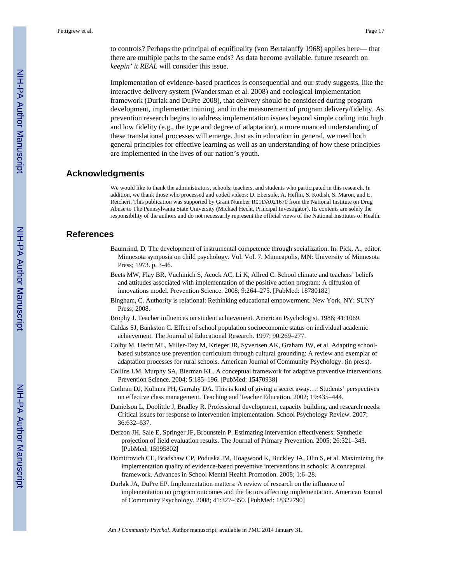to controls? Perhaps the principal of equifinality (von Bertalanffy 1968) applies here— that there are multiple paths to the same ends? As data become available, future research on *keepin' it REAL* will consider this issue.

Implementation of evidence-based practices is consequential and our study suggests, like the interactive delivery system (Wandersman et al. 2008) and ecological implementation framework (Durlak and DuPre 2008), that delivery should be considered during program development, implementer training, and in the measurement of program delivery/fidelity. As prevention research begins to address implementation issues beyond simple coding into high and low fidelity (e.g., the type and degree of adaptation), a more nuanced understanding of these translational processes will emerge. Just as in education in general, we need both general principles for effective learning as well as an understanding of how these principles are implemented in the lives of our nation's youth.

# **Acknowledgments**

We would like to thank the administrators, schools, teachers, and students who participated in this research. In addition, we thank those who processed and coded videos: D. Ebersole, A. Heflin, S. Kodish, S. Maron, and E. Reichert. This publication was supported by Grant Number R01DA021670 from the National Institute on Drug Abuse to The Pennsylvania State University (Michael Hecht, Principal Investigator). Its contents are solely the responsibility of the authors and do not necessarily represent the official views of the National Institutes of Health.

# **References**

- Baumrind, D. The development of instrumental competence through socialization. In: Pick, A., editor. Minnesota symposia on child psychology. Vol. Vol. 7. Minneapolis, MN: University of Minnesota Press; 1973. p. 3-46.
- Beets MW, Flay BR, Vuchinich S, Acock AC, Li K, Allred C. School climate and teachers' beliefs and attitudes associated with implementation of the positive action program: A diffusion of innovations model. Prevention Science. 2008; 9:264–275. [PubMed: 18780182]
- Bingham, C. Authority is relational: Rethinking educational empowerment. New York, NY: SUNY Press; 2008.
- Brophy J. Teacher influences on student achievement. American Psychologist. 1986; 41:1069.
- Caldas SJ, Bankston C. Effect of school population socioeconomic status on individual academic achievement. The Journal of Educational Research. 1997; 90:269–277.
- Colby M, Hecht ML, Miller-Day M, Krieger JR, Syvertsen AK, Graham JW, et al. Adapting schoolbased substance use prevention curriculum through cultural grounding: A review and exemplar of adaptation processes for rural schools. American Journal of Community Psychology. (in press).
- Collins LM, Murphy SA, Bierman KL. A conceptual framework for adaptive preventive interventions. Prevention Science. 2004; 5:185–196. [PubMed: 15470938]
- Cothran DJ, Kulinna PH, Garrahy DA. This is kind of giving a secret away…: Students' perspectives on effective class management. Teaching and Teacher Education. 2002; 19:435–444.
- Danielson L, Doolittle J, Bradley R. Professional development, capacity building, and research needs: Critical issues for response to intervention implementation. School Psychology Review. 2007; 36:632–637.
- Derzon JH, Sale E, Springer JF, Brounstein P. Estimating intervention effectiveness: Synthetic projection of field evaluation results. The Journal of Primary Prevention. 2005; 26:321–343. [PubMed: 15995802]
- Domitrovich CE, Bradshaw CP, Poduska JM, Hoagwood K, Buckley JA, Olin S, et al. Maximizing the implementation quality of evidence-based preventive interventions in schools: A conceptual framework. Advances in School Mental Health Promotion. 2008; 1:6–28.
- Durlak JA, DuPre EP. Implementation matters: A review of research on the influence of implementation on program outcomes and the factors affecting implementation. American Journal of Community Psychology. 2008; 41:327–350. [PubMed: 18322790]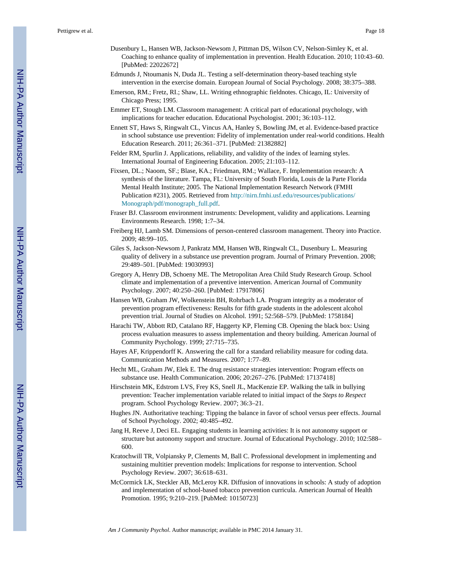- Dusenbury L, Hansen WB, Jackson-Newsom J, Pittman DS, Wilson CV, Nelson-Simley K, et al. Coaching to enhance quality of implementation in prevention. Health Education. 2010; 110:43–60. [PubMed: 22022672]
- Edmunds J, Ntoumanis N, Duda JL. Testing a self-determination theory-based teaching style intervention in the exercise domain. European Journal of Social Psychology. 2008; 38:375–388.
- Emerson, RM.; Fretz, RI.; Shaw, LL. Writing ethnographic fieldnotes. Chicago, IL: University of Chicago Press; 1995.
- Emmer ET, Stough LM. Classroom management: A critical part of educational psychology, with implications for teacher education. Educational Psychologist. 2001; 36:103–112.
- Ennett ST, Haws S, Ringwalt CL, Vincus AA, Hanley S, Bowling JM, et al. Evidence-based practice in school substance use prevention: Fidelity of implementation under real-world conditions. Health Education Research. 2011; 26:361–371. [PubMed: 21382882]
- Felder RM, Spurlin J. Applications, reliability, and validity of the index of learning styles. International Journal of Engineering Education. 2005; 21:103–112.
- Fixsen, DL.; Naoom, SF.; Blase, KA.; Friedman, RM.; Wallace, F. Implementation research: A synthesis of the literature. Tampa, FL: University of South Florida, Louis de la Parte Florida Mental Health Institute; 2005. The National Implementation Research Network (FMHI Publication #231), 2005. Retrieved from [http://nirn.fmhi.usf.edu/resources/publications/](http://nirn.fmhi.usf.edu/resources/publications/Monograph/pdf/monograph_full.pdf) [Monograph/pdf/monograph\\_full.pdf](http://nirn.fmhi.usf.edu/resources/publications/Monograph/pdf/monograph_full.pdf).
- Fraser BJ. Classroom environment instruments: Development, validity and applications. Learning Environments Research. 1998; 1:7–34.
- Freiberg HJ, Lamb SM. Dimensions of person-centered classroom management. Theory into Practice. 2009; 48:99–105.
- Giles S, Jackson-Newsom J, Pankratz MM, Hansen WB, Ringwalt CL, Dusenbury L. Measuring quality of delivery in a substance use prevention program. Journal of Primary Prevention. 2008; 29:489–501. [PubMed: 19030993]
- Gregory A, Henry DB, Schoeny ME. The Metropolitan Area Child Study Research Group. School climate and implementation of a preventive intervention. American Journal of Community Psychology. 2007; 40:250–260. [PubMed: 17917806]
- Hansen WB, Graham JW, Wolkenstein BH, Rohrbach LA. Program integrity as a moderator of prevention program effectiveness: Results for fifth grade students in the adolescent alcohol prevention trial. Journal of Studies on Alcohol. 1991; 52:568–579. [PubMed: 1758184]
- Harachi TW, Abbott RD, Catalano RF, Haggerty KP, Fleming CB. Opening the black box: Using process evaluation measures to assess implementation and theory building. American Journal of Community Psychology. 1999; 27:715–735.
- Hayes AF, Krippendorff K. Answering the call for a standard reliability measure for coding data. Communication Methods and Measures. 2007; 1:77–89.
- Hecht ML, Graham JW, Elek E. The drug resistance strategies intervention: Program effects on substance use. Health Communication. 2006; 20:267–276. [PubMed: 17137418]
- Hirschstein MK, Edstrom LVS, Frey KS, Snell JL, MacKenzie EP. Walking the talk in bullying prevention: Teacher implementation variable related to initial impact of the *Steps to Respect* program. School Psychology Review. 2007; 36:3–21.
- Hughes JN. Authoritative teaching: Tipping the balance in favor of school versus peer effects. Journal of School Psychology. 2002; 40:485–492.
- Jang H, Reeve J, Deci EL. Engaging students in learning activities: It is not autonomy support or structure but autonomy support and structure. Journal of Educational Psychology. 2010; 102:588– 600.
- Kratochwill TR, Volpiansky P, Clements M, Ball C. Professional development in implementing and sustaining multitier prevention models: Implications for response to intervention. School Psychology Review. 2007; 36:618–631.
- McCormick LK, Steckler AB, McLeroy KR. Diffusion of innovations in schools: A study of adoption and implementation of school-based tobacco prevention curricula. American Journal of Health Promotion. 1995; 9:210–219. [PubMed: 10150723]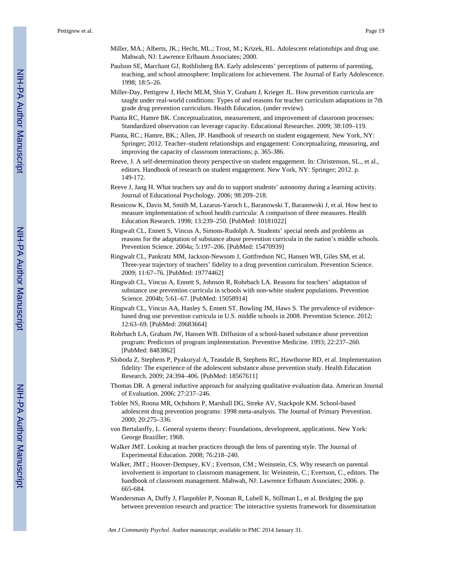- Miller, MA.; Alberts, JK.; Hecht, ML.; Trost, M.; Krizek, RL. Adolescent relationships and drug use. Mahwah, NJ: Lawrence Erlbaum Associates; 2000.
- Paulson SE, Marchant GJ, Rothlisberg BA. Early adolescents' perceptions of patterns of parenting, teaching, and school atmosphere: Implications for achievement. The Journal of Early Adolescence. 1998; 18:5–26.
- Miller-Day, Pettigrew J, Hecht MLM, Shin Y, Graham J, Krieger JL. How prevention curricula are taught under real-world conditions: Types of and reasons for teacher curriculum adaptations in 7th grade drug prevention curriculum. Health Education. (under review).
- Pianta RC, Hamre BK. Conceptualization, measurement, and improvement of classroom processes: Standardized observation can leverage capacity. Educational Researcher. 2009; 38:109–119.
- Pianta, RC.; Hamre, BK.; Allen, JP. Handbook of research on student engagement. New York, NY: Springer; 2012. Teacher–student relationships and engagement: Conceptualizing, measuring, and improving the capacity of classroom interactions; p. 365-386.
- Reeve, J. A self-determination theory perspective on student engagement. In: Christenson, SL., et al., editors. Handbook of research on student engagement. New York, NY: Springer; 2012. p. 149-172.
- Reeve J, Jang H. What teachers say and do to support students' autonomy during a learning activity. Journal of Educational Psychology. 2006; 98:209–218.
- Resnicow K, Davis M, Smith M, Lazarus-Yaroch L, Baranowski T, Baranowski J, et al. How best to measure implementation of school health curricula: A comparison of three measures. Health Education Research. 1998; 13:239–250. [PubMed: 10181022]
- Ringwalt CL, Ennett S, Vincus A, Simons-Rudolph A. Students' special needs and problems as reasons for the adaptation of substance abuse prevention curricula in the nation's middle schools. Prevention Science. 2004a; 5:197–206. [PubMed: 15470939]
- Ringwalt CL, Pankratz MM, Jackson-Newsom J, Gottfredson NC, Hansen WB, Giles SM, et al. Three-year trajectory of teachers' fidelity to a drug prevention curriculum. Prevention Science. 2009; 11:67–76. [PubMed: 19774462]
- Ringwalt CL, Vincus A, Ennett S, Johnson R, Rohrbach LA. Reasons for teachers' adaptation of substance use prevention curricula in schools with non-white student populations. Prevention Science. 2004b; 5:61–67. [PubMed: 15058914]
- Ringwalt CL, Vincus AA, Hanley S, Ennett ST, Bowling JM, Haws S. The prevalence of evidencebased drug use prevention curricula in U.S. middle schools in 2008. Prevention Science. 2012; 12:63–69. [PubMed: 20683664]
- Rohrbach LA, Graham JW, Hansen WB. Diffusion of a school-based substance abuse prevention program: Predictors of program implementation. Preventive Medicine. 1993; 22:237–260. [PubMed: 8483862]
- Sloboda Z, Stephens P, Pyakuryal A, Teasdale B, Stephens RC, Hawthorne RD, et al. Implementation fidelity: The experience of the adolescent substance abuse prevention study. Health Education Research. 2009; 24:394–406. [PubMed: 18567611]
- Thomas DR. A general inductive approach for analyzing qualitative evaluation data. American Journal of Evaluation. 2006; 27:237–246.
- Tobler NS, Roona MR, Ochshorn P, Marshall DG, Streke AV, Stackpole KM. School-based adolescent drug prevention programs: 1998 meta-analysis. The Journal of Primary Prevention. 2000; 20:275–336.
- von Bertalanffy, L. General systems theory: Foundations, development, applications. New York: George Braziller; 1968.
- Walker JMT. Looking at teacher practices through the lens of parenting style. The Journal of Experimental Education. 2008; 76:218–240.
- Walker, JMT.; Hoover-Dempsey, KV.; Evertson, CM.; Weinstein, CS. Why research on parental involvement is important to classroom management. In: Weinstein, C.; Evertson, C., editors. The handbook of classroom management. Mahwah, NJ: Lawrence Erlbaum Associates; 2006. p. 665-684.
- Wandersman A, Duffy J, Flaspohler P, Noonan R, Lubell K, Stillman L, et al. Bridging the gap between prevention research and practice: The interactive systems framework for dissemination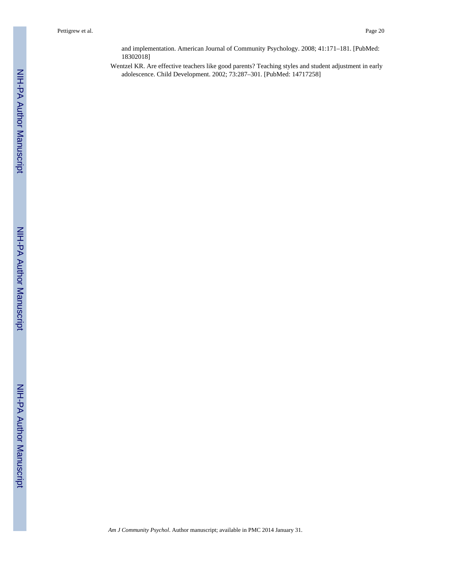and implementation. American Journal of Community Psychology. 2008; 41:171–181. [PubMed: 18302018]

Wentzel KR. Are effective teachers like good parents? Teaching styles and student adjustment in early adolescence. Child Development. 2002; 73:287–301. [PubMed: 14717258]